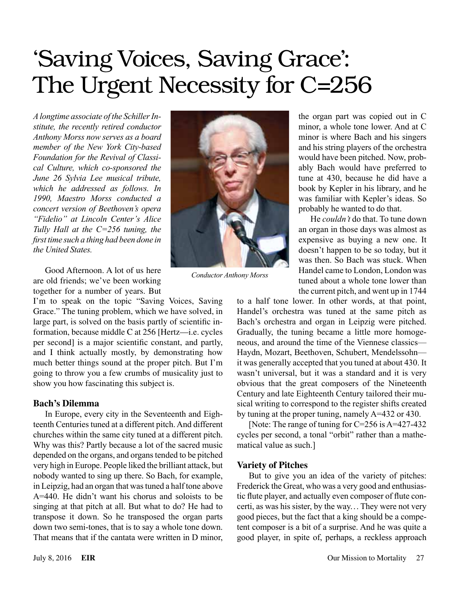# 'Saving Voices, Saving Grace': The Urgent Necessity for C=256

*A longtime associate of the Schiller Institute, the recently retired conductor Anthony Morss now serves as a board member of the New York City-based Foundation for the Revival of Classical Culture, which co-sponsored the June 26 Sylvia Lee musical tribute, which he addressed as follows. In 1990, Maestro Morss conducted a concert version of Beethoven's opera "Fidelio" at Lincoln Center's Alice Tully Hall at the C=256 tuning, the first time such a thing had been done in the United States.*

Good Afternoon. A lot of us here are old friends; we've been working together for a number of years. But

I'm to speak on the topic "Saving Voices, Saving Grace." The tuning problem, which we have solved, in large part, is solved on the basis partly of scientific information, because middle C at 256 [Hertz—i.e. cycles per second] is a major scientific constant, and partly, and I think actually mostly, by demonstrating how much better things sound at the proper pitch. But I'm going to throw you a few crumbs of musicality just to show you how fascinating this subject is.

## **Bach's Dilemma**

In Europe, every city in the Seventeenth and Eighteenth Centuries tuned at a different pitch. And different churches within the same city tuned at a different pitch. Why was this? Partly because a lot of the sacred music depended on the organs, and organs tended to be pitched very high in Europe. People liked the brilliant attack, but nobody wanted to sing up there. So Bach, for example, in Leipzig, had an organ that was tuned a half tone above A=440. He didn't want his chorus and soloists to be singing at that pitch at all. But what to do? He had to transpose it down. So he transposed the organ parts down two semi-tones, that is to say a whole tone down. That means that if the cantata were written in D minor,



*Conductor Anthony Morss*

the organ part was copied out in C minor, a whole tone lower. And at C minor is where Bach and his singers and his string players of the orchestra would have been pitched. Now, probably Bach would have preferred to tune at 430, because he did have a book by Kepler in his library, and he was familiar with Kepler's ideas. So probably he wanted to do that.

He *couldn't* do that. To tune down an organ in those days was almost as expensive as buying a new one. It doesn't happen to be so today, but it was then. So Bach was stuck. When Handel came to London, London was tuned about a whole tone lower than the current pitch, and went up in 1744

to a half tone lower. In other words, at that point, Handel's orchestra was tuned at the same pitch as Bach's orchestra and organ in Leipzig were pitched. Gradually, the tuning became a little more homogeneous, and around the time of the Viennese classics— Haydn, Mozart, Beethoven, Schubert, Mendelssohn it was generally accepted that you tuned at about 430. It wasn't universal, but it was a standard and it is very obvious that the great composers of the Nineteenth Century and late Eighteenth Century tailored their musical writing to correspond to the register shifts created by tuning at the proper tuning, namely A=432 or 430.

[Note: The range of tuning for C=256 is A=427-432 cycles per second, a tonal "orbit" rather than a mathematical value as such.]

# **Variety of Pitches**

But to give you an idea of the variety of pitches: Frederick the Great, who was a very good and enthusiastic flute player, and actually even composer of flute concerti, as was his sister, by the way... They were not very good pieces, but the fact that a king should be a competent composer is a bit of a surprise. And he was quite a good player, in spite of, perhaps, a reckless approach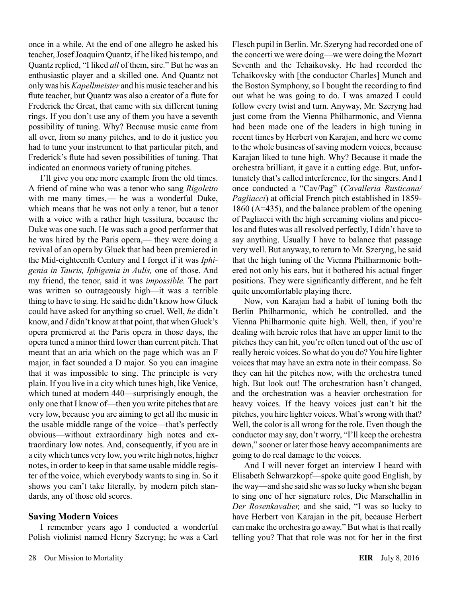once in a while. At the end of one allegro he asked his teacher, Josef Joaquim Quantz, if he liked his tempo, and Quantz replied, "I liked *all* of them, sire." But he was an enthusiastic player and a skilled one. And Quantz not only was his *Kapellmeister* and his music teacher and his flute teacher, but Quantz was also a creator of a flute for Frederick the Great, that came with six different tuning rings. If you don't use any of them you have a seventh possibility of tuning. Why? Because music came from all over, from so many pitches, and to do it justice you had to tune your instrument to that particular pitch, and Frederick's flute had seven possibilities of tuning. That indicated an enormous variety of tuning pitches.

I'll give you one more example from the old times. A friend of mine who was a tenor who sang *Rigoletto* with me many times,— he was a wonderful Duke, which means that he was not only a tenor, but a tenor with a voice with a rather high tessitura, because the Duke was one such. He was such a good performer that he was hired by the Paris opera,— they were doing a revival of an opera by Gluck that had been premiered in the Mid-eighteenth Century and I forget if it was *Iphigenia in Tauris, Iphigenia in Aulis,* one of those. And my friend, the tenor, said it was *impossible.* The part was written so outrageously high—it was a terrible thing to have to sing. He said he didn't know how Gluck could have asked for anything so cruel. Well, *he* didn't know, and *I* didn't know at that point, that when Gluck's opera premiered at the Paris opera in those days, the opera tuned a minor third lower than current pitch. That meant that an aria which on the page which was an F major, in fact sounded a D major. So you can imagine that it was impossible to sing. The principle is very plain. If you live in a city which tunes high, like Venice, which tuned at modern 440—surprisingly enough, the only one that I know of—then you write pitches that are very low, because you are aiming to get all the music in the usable middle range of the voice—that's perfectly obvious—without extraordinary high notes and extraordinary low notes. And, consequently, if you are in a city which tunes very low, you write high notes, higher notes, in order to keep in that same usable middle register of the voice, which everybody wants to sing in. So it shows you can't take literally, by modern pitch standards, any of those old scores.

#### **Saving Modern Voices**

I remember years ago I conducted a wonderful Polish violinist named Henry Szeryng; he was a Carl Flesch pupil in Berlin. Mr. Szeryng had recorded one of the concerti we were doing—we were doing the Mozart Seventh and the Tchaikovsky. He had recorded the Tchaikovsky with [the conductor Charles] Munch and the Boston Symphony, so I bought the recording to find out what he was going to do. I was amazed I could follow every twist and turn. Anyway, Mr. Szeryng had just come from the Vienna Philharmonic, and Vienna had been made one of the leaders in high tuning in recent times by Herbert von Karajan, and here we come to the whole business of saving modern voices, because Karajan liked to tune high. Why? Because it made the orchestra brilliant, it gave it a cutting edge. But, unfortunately that's called interference, for the singers. And I once conducted a "Cav/Pag" (*Cavalleria Rusticana/ Pagliacci*) at official French pitch established in 1859- 1860 (A=435), and the balance problem of the opening of Pagliacci with the high screaming violins and piccolos and flutes was all resolved perfectly, I didn't have to say anything. Usually I have to balance that passage very well. But anyway, to return to Mr. Szeryng, he said that the high tuning of the Vienna Philharmonic bothered not only his ears, but it bothered his actual finger positions. They were significantly different, and he felt quite uncomfortable playing there.

Now, von Karajan had a habit of tuning both the Berlin Philharmonic, which he controlled, and the Vienna Philharmonic quite high. Well, then, if you're dealing with heroic roles that have an upper limit to the pitches they can hit, you're often tuned out of the use of really heroic voices. So what do you do? You hire lighter voices that may have an extra note in their compass. So they can hit the pitches now, with the orchestra tuned high. But look out! The orchestration hasn't changed, and the orchestration was a heavier orchestration for heavy voices. If the heavy voices just can't hit the pitches, you hire lighter voices. What's wrong with that? Well, the color is all wrong for the role. Even though the conductor may say, don't worry, "I'll keep the orchestra down," sooner or later those heavy accompaniments are going to do real damage to the voices.

And I will never forget an interview I heard with Elisabeth Schwarzkopf—spoke quite good English, by the way—and she said she was so lucky when she began to sing one of her signature roles, Die Marschallin in *Der Rosenkavalier,* and she said, "I was so lucky to have Herbert von Karajan in the pit, because Herbert can make the orchestra go away." But what is that really telling you? That that role was not for her in the first